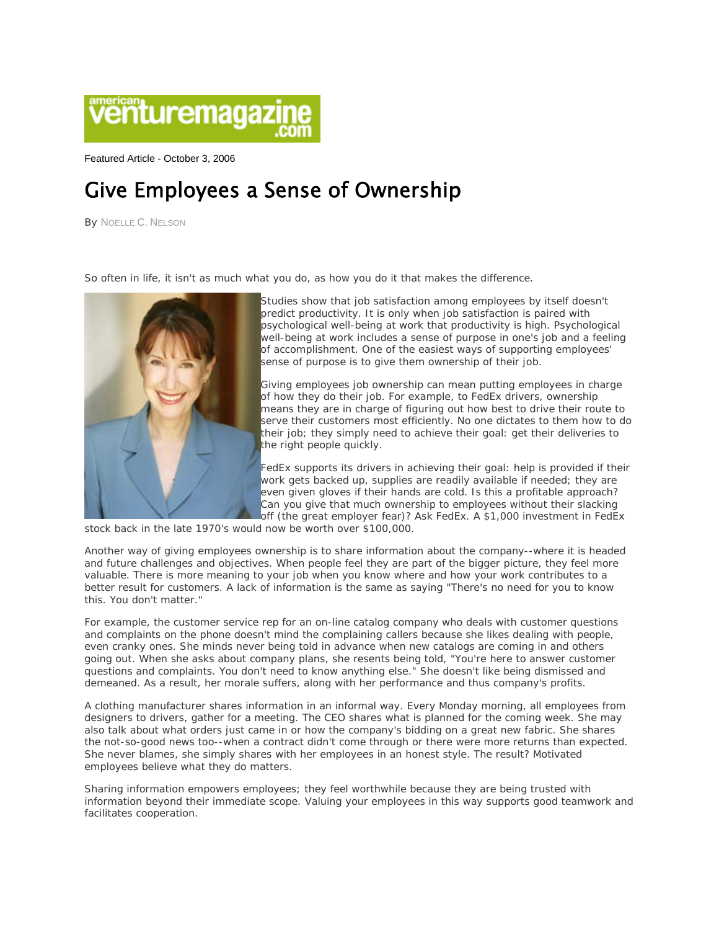

Featured Article - October 3, 2006

## Give Employees a Sense of Ownership

By NOELLE C. NELSON

*So often in life, it isn't as much what you do, as how you do it that makes the difference.* 



Studies show that job satisfaction among employees by itself doesn't predict productivity. It is only when job satisfaction is paired with psychological well-being at work that productivity is high. Psychological well-being at work includes a sense of purpose in one's job and a feeling of accomplishment. One of the easiest ways of supporting employees' sense of purpose is to give them ownership of their job.

Giving employees job ownership can mean putting employees in charge of how they do their job. For example, to FedEx drivers, ownership means they are in charge of figuring out how best to drive their route to serve their customers most efficiently. No one dictates to them how to do their job; they simply need to achieve their goal: get their deliveries to the right people quickly.

FedEx supports its drivers in achieving their goal: help is provided if their work gets backed up, supplies are readily available if needed; they are even given gloves if their hands are cold. Is this a profitable approach? Can you give that much ownership to employees without their slacking off (the great employer fear)? Ask FedEx. A \$1,000 investment in FedEx

stock back in the late 1970's would now be worth over \$100,000.

Another way of giving employees ownership is to share information about the company--where it is headed and future challenges and objectives. When people feel they are part of the bigger picture, they feel more valuable. There is more meaning to your job when you know where and how your work contributes to a better result for customers. A lack of information is the same as saying "There's no need for you to know this. You don't matter."

For example, the customer service rep for an on-line catalog company who deals with customer questions and complaints on the phone doesn't mind the complaining callers because she likes dealing with people, even cranky ones. She minds never being told in advance when new catalogs are coming in and others going out. When she asks about company plans, she resents being told, "You're here to answer customer questions and complaints. You don't need to know anything else." She doesn't like being dismissed and demeaned. As a result, her morale suffers, along with her performance and thus company's profits.

A clothing manufacturer shares information in an informal way. Every Monday morning, all employees from designers to drivers, gather for a meeting. The CEO shares what is planned for the coming week. She may also talk about what orders just came in or how the company's bidding on a great new fabric. She shares the not-so-good news too--when a contract didn't come through or there were more returns than expected. She never blames, she simply shares with her employees in an honest style. The result? Motivated employees believe what they do matters.

Sharing information empowers employees; they feel worthwhile because they are being trusted with information beyond their immediate scope. Valuing your employees in this way supports good teamwork and facilitates cooperation.